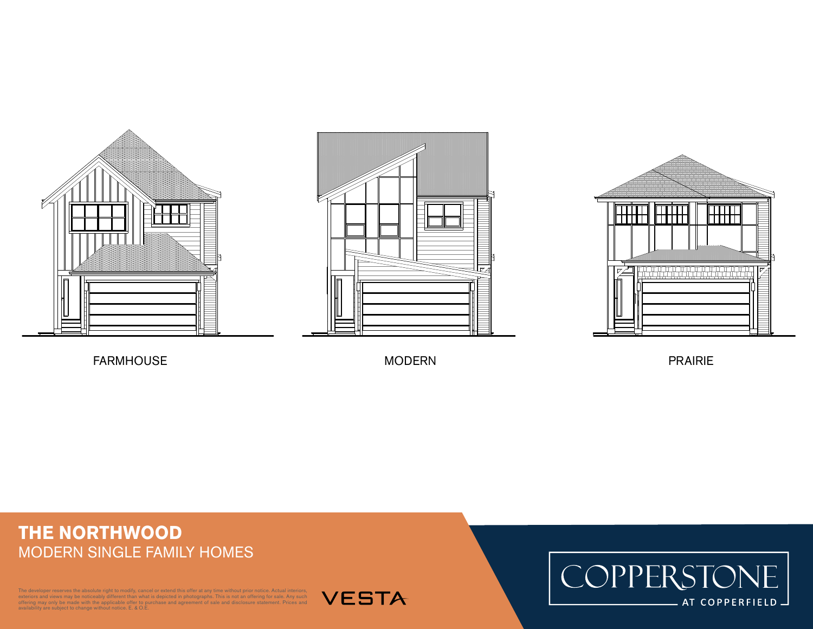





FARMHOUSE NODERN MODERN PRAIRIE

## **THE NORTHWOOD** MODERN SINGLE FAMILY HOMES

Ioper reserves the absolute right to modify, cancel or extend this offer at any time without prior notice. Actual interiors, exteriors and views may be noticeably different than what is depicted in photographs. This is not an offering for sale. Any such<br>offering may only be made with the applicable offer to purchase and agreement of sale and dis